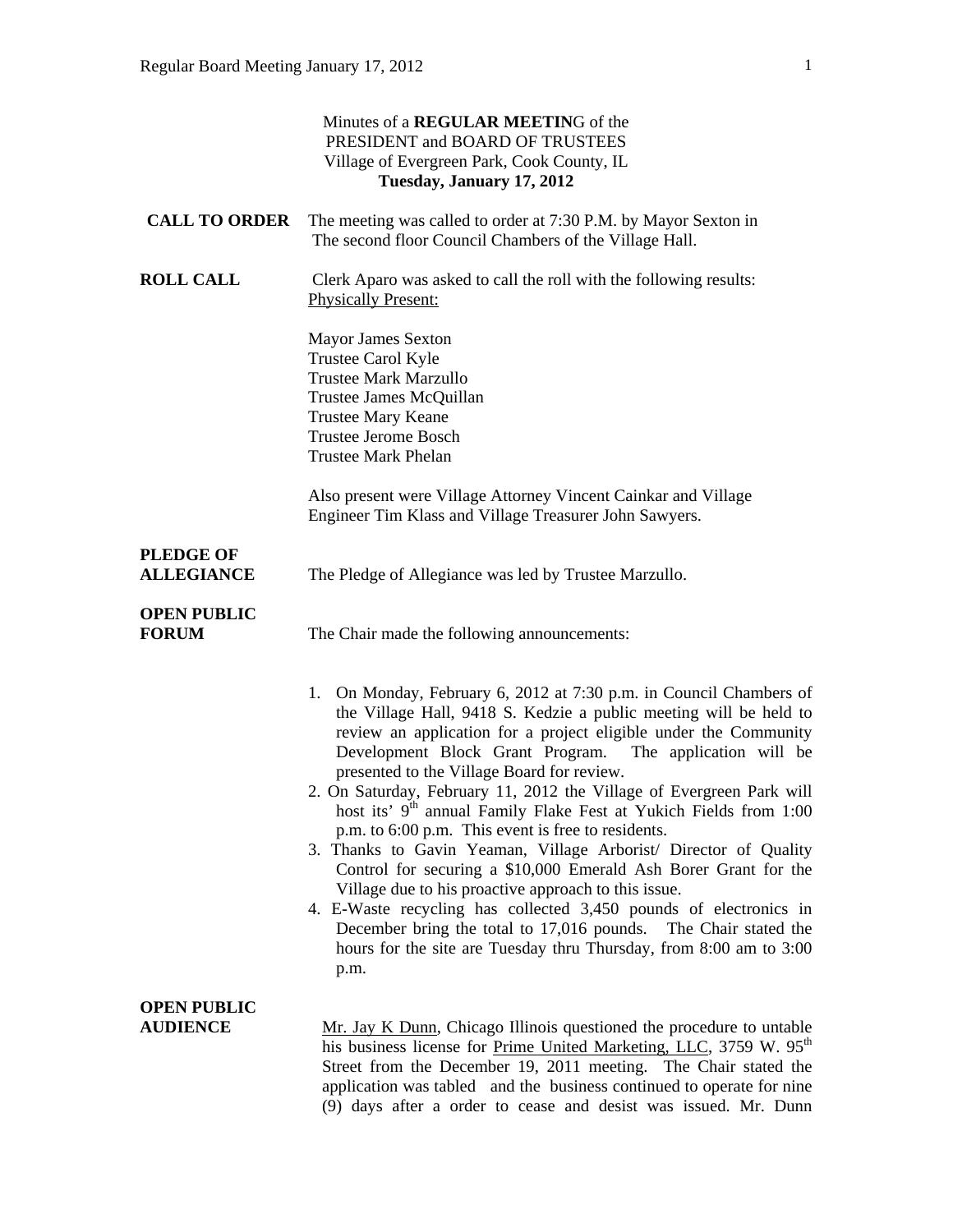|                                       | Minutes of a REGULAR MEETING of the<br>PRESIDENT and BOARD OF TRUSTEES<br>Village of Evergreen Park, Cook County, IL<br>Tuesday, January 17, 2012                                                                                                                                                                                                                                                                                                                                                                                                                                                                                                                                                                                                                                                                                                                                                                                                         |
|---------------------------------------|-----------------------------------------------------------------------------------------------------------------------------------------------------------------------------------------------------------------------------------------------------------------------------------------------------------------------------------------------------------------------------------------------------------------------------------------------------------------------------------------------------------------------------------------------------------------------------------------------------------------------------------------------------------------------------------------------------------------------------------------------------------------------------------------------------------------------------------------------------------------------------------------------------------------------------------------------------------|
| <b>CALL TO ORDER</b>                  | The meeting was called to order at 7:30 P.M. by Mayor Sexton in<br>The second floor Council Chambers of the Village Hall.                                                                                                                                                                                                                                                                                                                                                                                                                                                                                                                                                                                                                                                                                                                                                                                                                                 |
| <b>ROLL CALL</b>                      | Clerk Aparo was asked to call the roll with the following results:<br><b>Physically Present:</b>                                                                                                                                                                                                                                                                                                                                                                                                                                                                                                                                                                                                                                                                                                                                                                                                                                                          |
|                                       | Mayor James Sexton<br>Trustee Carol Kyle<br><b>Trustee Mark Marzullo</b><br>Trustee James McQuillan<br><b>Trustee Mary Keane</b><br><b>Trustee Jerome Bosch</b><br><b>Trustee Mark Phelan</b>                                                                                                                                                                                                                                                                                                                                                                                                                                                                                                                                                                                                                                                                                                                                                             |
|                                       | Also present were Village Attorney Vincent Cainkar and Village<br>Engineer Tim Klass and Village Treasurer John Sawyers.                                                                                                                                                                                                                                                                                                                                                                                                                                                                                                                                                                                                                                                                                                                                                                                                                                  |
| <b>PLEDGE OF</b><br><b>ALLEGIANCE</b> | The Pledge of Allegiance was led by Trustee Marzullo.                                                                                                                                                                                                                                                                                                                                                                                                                                                                                                                                                                                                                                                                                                                                                                                                                                                                                                     |
| <b>OPEN PUBLIC</b><br><b>FORUM</b>    | The Chair made the following announcements:                                                                                                                                                                                                                                                                                                                                                                                                                                                                                                                                                                                                                                                                                                                                                                                                                                                                                                               |
|                                       | 1. On Monday, February 6, 2012 at 7:30 p.m. in Council Chambers of<br>the Village Hall, 9418 S. Kedzie a public meeting will be held to<br>review an application for a project eligible under the Community<br>Development Block Grant Program. The application will be<br>presented to the Village Board for review.<br>2. On Saturday, February 11, 2012 the Village of Evergreen Park will<br>host its' 9 <sup>th</sup> annual Family Flake Fest at Yukich Fields from 1:00<br>p.m. to 6:00 p.m. This event is free to residents.<br>3. Thanks to Gavin Yeaman, Village Arborist/ Director of Quality<br>Control for securing a \$10,000 Emerald Ash Borer Grant for the<br>Village due to his proactive approach to this issue.<br>4. E-Waste recycling has collected 3,450 pounds of electronics in<br>December bring the total to 17,016 pounds. The Chair stated the<br>hours for the site are Tuesday thru Thursday, from 8:00 am to 3:00<br>p.m. |
| <b>OPEN PUBLIC</b><br><b>AUDIENCE</b> | Mr. Jay K Dunn, Chicago Illinois questioned the procedure to untable<br>his business license for <u>Prime United Marketing, LLC</u> , 3759 W. 95 <sup>th</sup><br>Street from the December 19, 2011 meeting. The Chair stated the<br>application was tabled and the business continued to operate for nine<br>(9) days after a order to cease and desist was issued. Mr. Dunn                                                                                                                                                                                                                                                                                                                                                                                                                                                                                                                                                                             |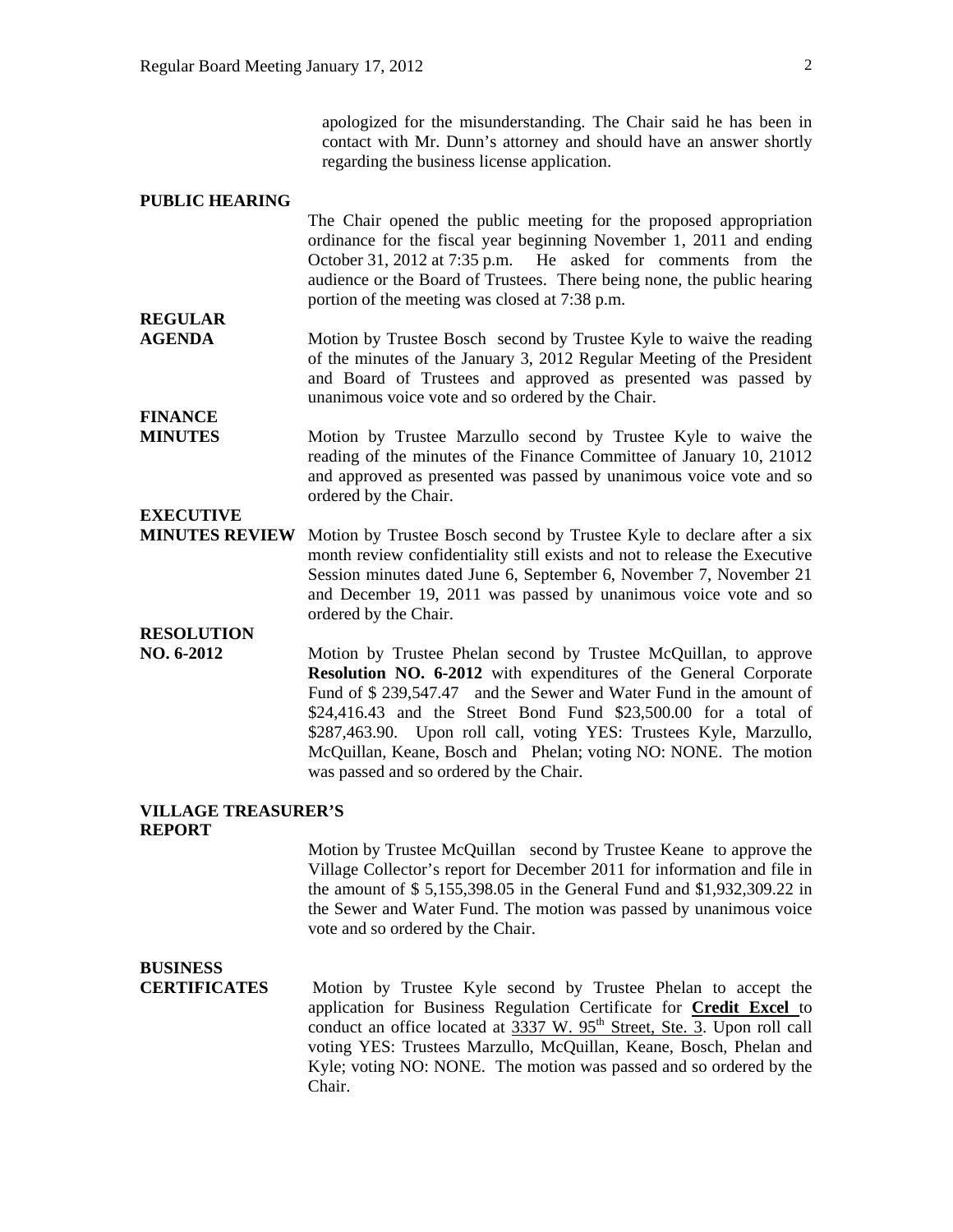apologized for the misunderstanding. The Chair said he has been in contact with Mr. Dunn's attorney and should have an answer shortly regarding the business license application.

#### **PUBLIC HEARING**

The Chair opened the public meeting for the proposed appropriation ordinance for the fiscal year beginning November 1, 2011 and ending October 31, 2012 at 7:35 p.m. He asked for comments from the audience or the Board of Trustees. There being none, the public hearing portion of the meeting was closed at 7:38 p.m.

- **AGENDA** Motion by Trustee Bosch second by Trustee Kyle to waive the reading of the minutes of the January 3, 2012 Regular Meeting of the President and Board of Trustees and approved as presented was passed by unanimous voice vote and so ordered by the Chair.
- **MINUTES** Motion by Trustee Marzullo second by Trustee Kyle to waive the reading of the minutes of the Finance Committee of January 10, 21012 and approved as presented was passed by unanimous voice vote and so ordered by the Chair.

### **EXECUTIVE**

**REGULAR** 

**FINANCE** 

**MINUTES REVIEW** Motion by Trustee Bosch second by Trustee Kyle to declare after a six month review confidentiality still exists and not to release the Executive Session minutes dated June 6, September 6, November 7, November 21 and December 19, 2011 was passed by unanimous voice vote and so ordered by the Chair.

## **RESOLUTION**

**NO. 6-2012** Motion by Trustee Phelan second by Trustee McQuillan, to approve **Resolution NO. 6-2012** with expenditures of the General Corporate Fund of \$ 239,547.47 and the Sewer and Water Fund in the amount of \$24,416.43 and the Street Bond Fund \$23,500.00 for a total of \$287,463.90. Upon roll call, voting YES: Trustees Kyle, Marzullo, McQuillan, Keane, Bosch and Phelan; voting NO: NONE. The motion was passed and so ordered by the Chair.

#### **VILLAGE TREASURER'S REPORT**

Motion by Trustee McQuillan second by Trustee Keane to approve the Village Collector's report for December 2011 for information and file in the amount of \$ 5,155,398.05 in the General Fund and \$1,932,309.22 in the Sewer and Water Fund. The motion was passed by unanimous voice vote and so ordered by the Chair.

### **BUSINESS**

**CERTIFICATES** Motion by Trustee Kyle second by Trustee Phelan to accept the application for Business Regulation Certificate for **Credit Excel** to conduct an office located at  $\frac{9337 \text{ W. } 95^{\text{th}} \text{ Street, } \text{Ste. } 3. \text{ Upon roll call}}{3}$ voting YES: Trustees Marzullo, McQuillan, Keane, Bosch, Phelan and Kyle; voting NO: NONE. The motion was passed and so ordered by the Chair.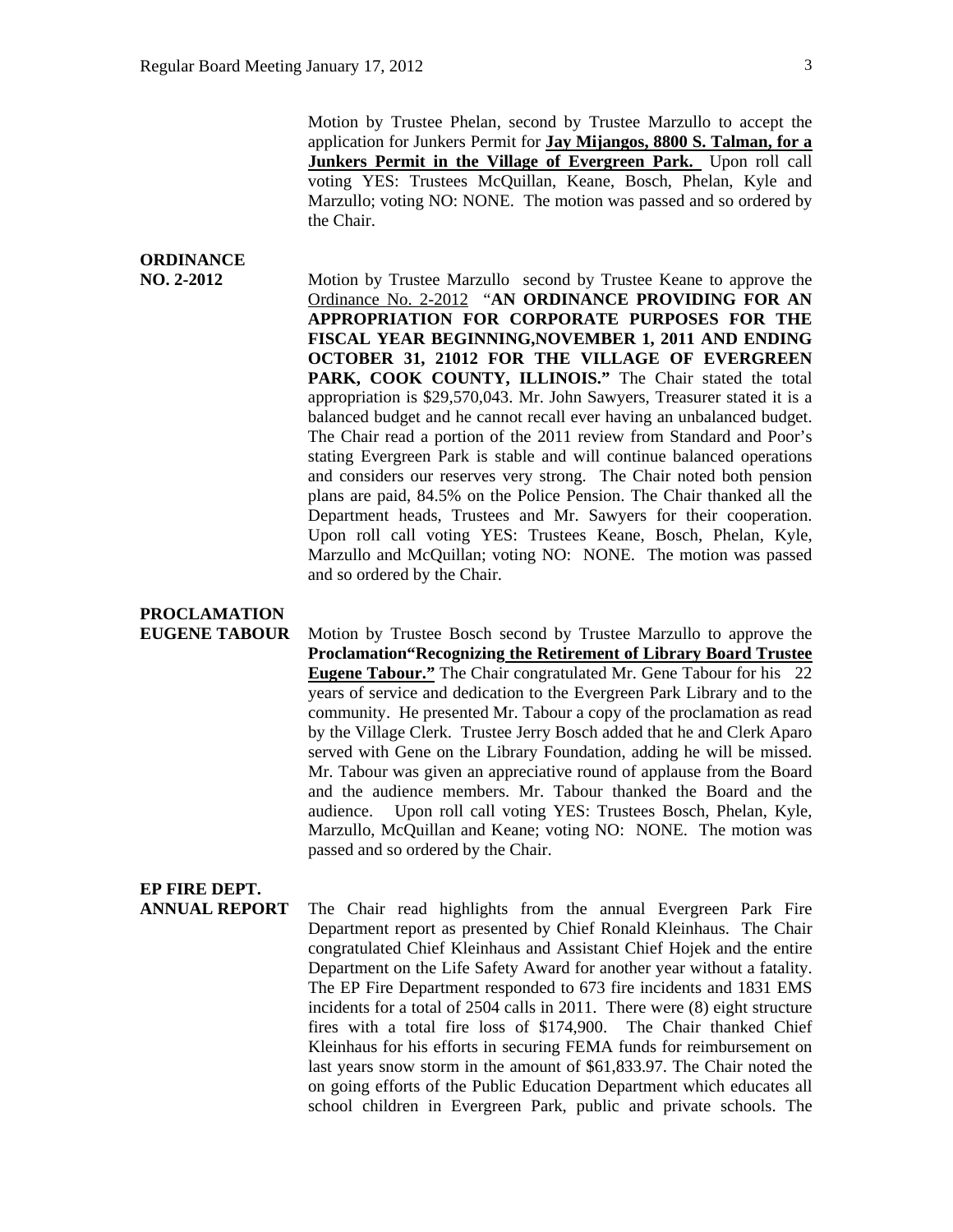Motion by Trustee Phelan, second by Trustee Marzullo to accept the application for Junkers Permit for **Jay Mijangos, 8800 S. Talman, for a**  Junkers Permit in the Village of Evergreen Park. Upon roll call voting YES: Trustees McQuillan, Keane, Bosch, Phelan, Kyle and Marzullo; voting NO: NONE. The motion was passed and so ordered by the Chair.

# **ORDINANCE**

**NO. 2-2012** Motion by Trustee Marzullo second by Trustee Keane to approve the Ordinance No. 2-2012 "**AN ORDINANCE PROVIDING FOR AN APPROPRIATION FOR CORPORATE PURPOSES FOR THE FISCAL YEAR BEGINNING,NOVEMBER 1, 2011 AND ENDING OCTOBER 31, 21012 FOR THE VILLAGE OF EVERGREEN**  PARK, COOK COUNTY, ILLINOIS." The Chair stated the total appropriation is \$29,570,043. Mr. John Sawyers, Treasurer stated it is a balanced budget and he cannot recall ever having an unbalanced budget. The Chair read a portion of the 2011 review from Standard and Poor's stating Evergreen Park is stable and will continue balanced operations and considers our reserves very strong. The Chair noted both pension plans are paid, 84.5% on the Police Pension. The Chair thanked all the Department heads, Trustees and Mr. Sawyers for their cooperation. Upon roll call voting YES: Trustees Keane, Bosch, Phelan, Kyle, Marzullo and McQuillan; voting NO: NONE. The motion was passed and so ordered by the Chair.

# **PROCLAMATION**

**EUGENE TABOUR** Motion by Trustee Bosch second by Trustee Marzullo to approve the **Proclamation"Recognizing the Retirement of Library Board Trustee Eugene Tabour."** The Chair congratulated Mr. Gene Tabour for his 22 years of service and dedication to the Evergreen Park Library and to the community. He presented Mr. Tabour a copy of the proclamation as read by the Village Clerk. Trustee Jerry Bosch added that he and Clerk Aparo served with Gene on the Library Foundation, adding he will be missed. Mr. Tabour was given an appreciative round of applause from the Board and the audience members. Mr. Tabour thanked the Board and the audience. Upon roll call voting YES: Trustees Bosch, Phelan, Kyle, Marzullo, McQuillan and Keane; voting NO: NONE. The motion was passed and so ordered by the Chair.

#### **EP FIRE DEPT.**

**ANNUAL REPORT** The Chair read highlights from the annual Evergreen Park Fire Department report as presented by Chief Ronald Kleinhaus. The Chair congratulated Chief Kleinhaus and Assistant Chief Hojek and the entire Department on the Life Safety Award for another year without a fatality. The EP Fire Department responded to 673 fire incidents and 1831 EMS incidents for a total of 2504 calls in 2011. There were (8) eight structure fires with a total fire loss of \$174,900. The Chair thanked Chief Kleinhaus for his efforts in securing FEMA funds for reimbursement on last years snow storm in the amount of \$61,833.97. The Chair noted the on going efforts of the Public Education Department which educates all school children in Evergreen Park, public and private schools. The